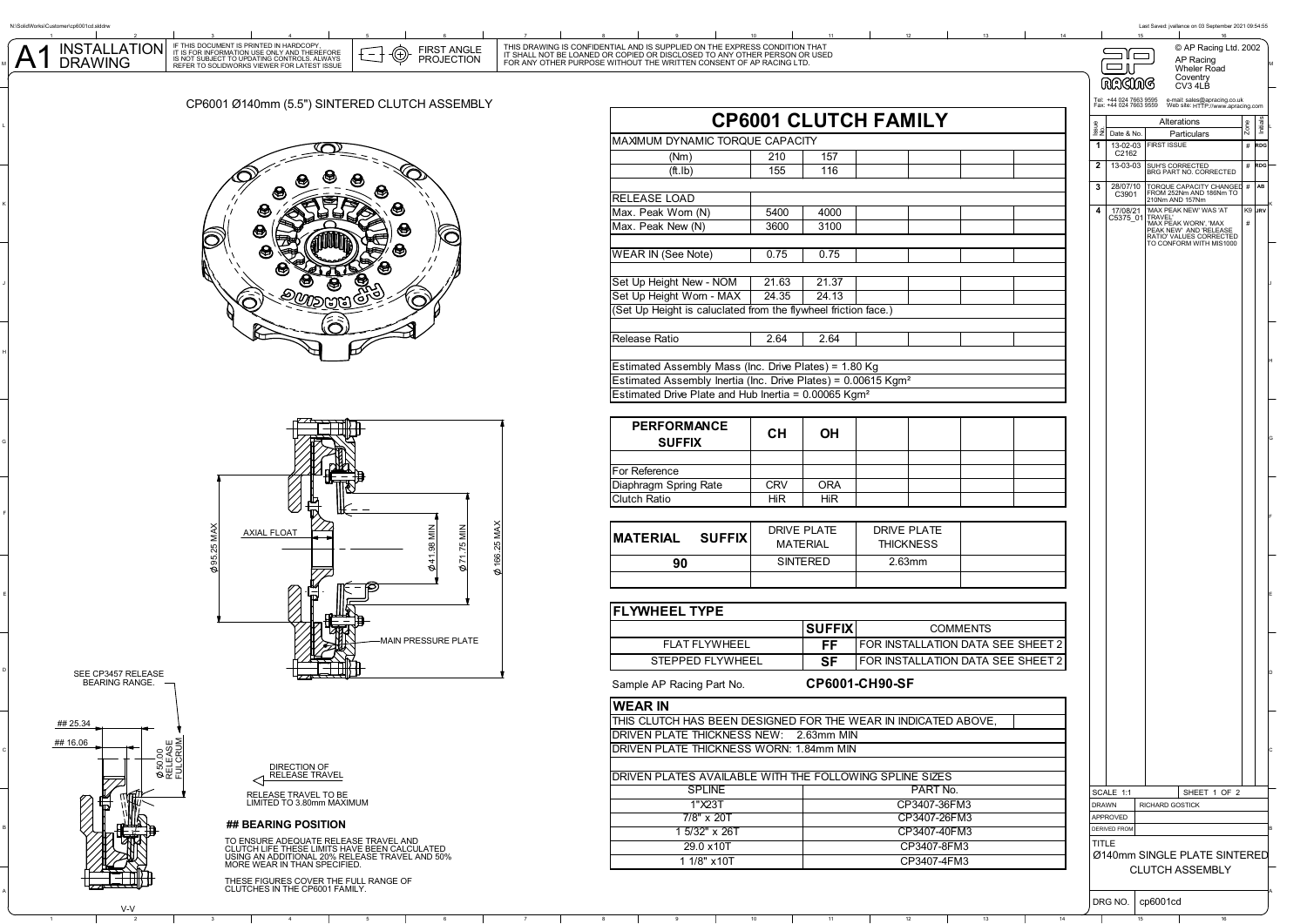A1

1 2 3 4 5 6 7 8 9 10 11 12 3 3 4 5 5 © AP Racing Ltd. 2002 AP Racing<br>Wheler Road AP PIRST ANGLE THIS DRAWING IS CONFIDENTIAL AND IS SUPPLIED ON THE EXPRESS CONDITION THAT THAT THE SOLID FUNCH<br>
TISSUE ON A PROJECTION FOR ANY OTHER PURPOSE WITHOUT THE WRITTEN CONSENT OF AP RACING LTD.<br>
THE SOLID SOLID ST

## CP6001 Ø140mm (5.5") SINTERED CLUTCH ASSEMBLY

IF THIS DOCUMENT IS PRINTED IN HARDCOPY,<br>IT IS FOR INFORMATION USE ONLY AND THEREFORE<br>IS NOT SUBJECT TO UPDATING CONTROLS. ALWAYS





V-V

A

B

C

J

K

## **## BEARING POSITION**

1 2 3 4 5 6 7 8 9 10 11 12 13 14 15 15

THESE FIGURES COVER THE FULL RANGE OF CLUTCHES IN THE CP6001 FAMILY.

| INSTALLATION<br>DRAWING                                                                      | IF THIS DUCUMENT IS PRINTED IN PARDCOPY,<br>IT IS FOR INFORMATION USE ONLY AND THEREFORE<br>IS NOT SUBJECT TO UPDATING CONTROLS. ALWAYS<br>REFER TO SOLIDWORKS VIEWER FOR LATEST ISSUE | ⊕<br><b>FIRST ANGLE</b><br>PROJECTION |                                                                                                          | THIS DRAWING IS CONFIDENTIAL AND IS SUPPLIED ON THE EXPRESS CONDITION THAT IT SHALL NOT BE LOANED OR COPIED OR DISCLOSED TO ANY OTHER PERSON OR USED<br>FOR ANY OTHER PURPOSE WITHOUT THE WRITTEN CONSENT OF AP RACING LTD. |                 |               |                                   |                          |                                        |                                     | $\equiv$ i $\equiv$<br>்டா                                                                                      | © AP Racing Ltd. 2002<br>AP Racing<br>Wheler Road<br>Coventry                                                                                                            |     |
|----------------------------------------------------------------------------------------------|----------------------------------------------------------------------------------------------------------------------------------------------------------------------------------------|---------------------------------------|----------------------------------------------------------------------------------------------------------|-----------------------------------------------------------------------------------------------------------------------------------------------------------------------------------------------------------------------------|-----------------|---------------|-----------------------------------|--------------------------|----------------------------------------|-------------------------------------|-----------------------------------------------------------------------------------------------------------------|--------------------------------------------------------------------------------------------------------------------------------------------------------------------------|-----|
|                                                                                              |                                                                                                                                                                                        |                                       |                                                                                                          |                                                                                                                                                                                                                             |                 |               |                                   |                          |                                        |                                     | <b>RACING</b>                                                                                                   | CV3 4LB                                                                                                                                                                  |     |
|                                                                                              | CP6001 Ø140mm (5.5") SINTERED CLUTCH ASSEMBLY                                                                                                                                          |                                       | <b>CP6001 CLUTCH FAMILY</b>                                                                              |                                                                                                                                                                                                                             |                 |               |                                   |                          |                                        |                                     | Tel: +44 024 7663 9595 e-mail: sales@apracing.co.uk<br>Fax: +44 024 7663 9559 Web site: HTTP://www.apracing.com |                                                                                                                                                                          |     |
|                                                                                              |                                                                                                                                                                                        |                                       |                                                                                                          |                                                                                                                                                                                                                             |                 |               |                                   |                          | $\frac{3}{2}$ $\frac{3}{2}$ Date & No. | Alterations<br>Particulars          |                                                                                                                 |                                                                                                                                                                          |     |
|                                                                                              |                                                                                                                                                                                        |                                       |                                                                                                          | MAXIMUM DYNAMIC TORQUE CAPACITY                                                                                                                                                                                             |                 |               |                                   |                          |                                        | 13-02-03<br>C2162<br>$\overline{1}$ | <b>FIRST ISSUE</b>                                                                                              |                                                                                                                                                                          |     |
|                                                                                              |                                                                                                                                                                                        |                                       |                                                                                                          | (Nm)                                                                                                                                                                                                                        | 210<br>155      | 157<br>116    |                                   |                          |                                        |                                     |                                                                                                                 | 2 13-03-03 SUH'S CORRECTED                                                                                                                                               | # F |
|                                                                                              |                                                                                                                                                                                        |                                       |                                                                                                          | (ft.lb)                                                                                                                                                                                                                     |                 |               |                                   |                          |                                        |                                     |                                                                                                                 | 3 28/07/10 TORQUE CAPACITY CHANGED                                                                                                                                       |     |
|                                                                                              |                                                                                                                                                                                        | ハ                                     |                                                                                                          | RELEASE LOAD                                                                                                                                                                                                                |                 |               |                                   |                          |                                        |                                     | C3901                                                                                                           | FROM 252Nm AND 186Nm TO<br>210Nm AND 157Nm                                                                                                                               |     |
|                                                                                              |                                                                                                                                                                                        |                                       |                                                                                                          | Max. Peak Worn (N)                                                                                                                                                                                                          | 5400            | 4000          |                                   |                          |                                        |                                     |                                                                                                                 |                                                                                                                                                                          |     |
|                                                                                              | ❸                                                                                                                                                                                      | Ĉ                                     |                                                                                                          | Max. Peak New (N)                                                                                                                                                                                                           | 3600            | 3100          |                                   |                          |                                        |                                     |                                                                                                                 | 4 17/08/21 MAX PEAK NEW WAS 'AT C5375_01 TRAVEL'<br>C5375_01 TRAVEL'<br>PEAK NEW WORN, MAX<br>PEAK NEW AND TRELEASE<br>RATIO VALUES CORRECTED<br>TO CONFORM WITH MIS1000 |     |
|                                                                                              |                                                                                                                                                                                        |                                       |                                                                                                          | <b>WEAR IN (See Note)</b>                                                                                                                                                                                                   | 0.75            | 0.75          |                                   |                          |                                        |                                     |                                                                                                                 |                                                                                                                                                                          |     |
|                                                                                              |                                                                                                                                                                                        |                                       |                                                                                                          | Set Up Height New - NOM                                                                                                                                                                                                     | 21.63           | 21.37         |                                   |                          |                                        |                                     |                                                                                                                 |                                                                                                                                                                          |     |
|                                                                                              |                                                                                                                                                                                        |                                       |                                                                                                          | Set Up Height Worn - MAX                                                                                                                                                                                                    | 24.35           | 24.13         |                                   |                          |                                        |                                     |                                                                                                                 |                                                                                                                                                                          |     |
|                                                                                              |                                                                                                                                                                                        |                                       |                                                                                                          | (Set Up Height is caluclated from the flywheel friction face.)                                                                                                                                                              |                 |               |                                   |                          |                                        |                                     |                                                                                                                 |                                                                                                                                                                          |     |
|                                                                                              |                                                                                                                                                                                        |                                       |                                                                                                          | Release Ratio                                                                                                                                                                                                               | 2.64            | 2.64          |                                   |                          |                                        |                                     |                                                                                                                 |                                                                                                                                                                          |     |
|                                                                                              |                                                                                                                                                                                        |                                       |                                                                                                          |                                                                                                                                                                                                                             |                 |               |                                   |                          |                                        |                                     |                                                                                                                 |                                                                                                                                                                          |     |
|                                                                                              |                                                                                                                                                                                        |                                       |                                                                                                          | Estimated Assembly Mass (Inc. Drive Plates) = 1.80 Kg<br>Estimated Assembly Inertia (Inc. Drive Plates) = 0.00615 Kgm <sup>2</sup><br>Estimated Drive Plate and Hub Inertia = 0.00065 Kgm <sup>2</sup>                      |                 |               |                                   |                          |                                        |                                     |                                                                                                                 |                                                                                                                                                                          |     |
|                                                                                              |                                                                                                                                                                                        |                                       |                                                                                                          |                                                                                                                                                                                                                             |                 |               |                                   |                          |                                        |                                     |                                                                                                                 |                                                                                                                                                                          |     |
|                                                                                              |                                                                                                                                                                                        |                                       |                                                                                                          |                                                                                                                                                                                                                             |                 |               |                                   |                          |                                        |                                     |                                                                                                                 |                                                                                                                                                                          |     |
|                                                                                              |                                                                                                                                                                                        |                                       |                                                                                                          | <b>PERFORMANCE</b>                                                                                                                                                                                                          | <b>CH</b>       | OH            |                                   |                          |                                        |                                     |                                                                                                                 |                                                                                                                                                                          |     |
|                                                                                              |                                                                                                                                                                                        |                                       |                                                                                                          | <b>SUFFIX</b>                                                                                                                                                                                                               |                 |               |                                   |                          |                                        |                                     |                                                                                                                 |                                                                                                                                                                          |     |
|                                                                                              |                                                                                                                                                                                        |                                       |                                                                                                          |                                                                                                                                                                                                                             |                 |               |                                   |                          |                                        |                                     |                                                                                                                 |                                                                                                                                                                          |     |
|                                                                                              |                                                                                                                                                                                        |                                       |                                                                                                          | For Reference<br>Diaphragm Spring Rate                                                                                                                                                                                      | <b>CRV</b>      | <b>ORA</b>    |                                   |                          |                                        |                                     |                                                                                                                 |                                                                                                                                                                          |     |
|                                                                                              |                                                                                                                                                                                        |                                       |                                                                                                          | Clutch Ratio                                                                                                                                                                                                                | <b>HiR</b>      | <b>HiR</b>    |                                   |                          |                                        |                                     |                                                                                                                 |                                                                                                                                                                          |     |
|                                                                                              |                                                                                                                                                                                        |                                       |                                                                                                          |                                                                                                                                                                                                                             |                 |               |                                   |                          |                                        |                                     |                                                                                                                 |                                                                                                                                                                          |     |
|                                                                                              | AXIAL FLOAT                                                                                                                                                                            |                                       |                                                                                                          |                                                                                                                                                                                                                             | DRIVE PLATE     |               | DRIVE PLATE                       |                          |                                        |                                     |                                                                                                                 |                                                                                                                                                                          |     |
|                                                                                              | 95.25 MAX                                                                                                                                                                              |                                       |                                                                                                          | <b>SUFFIX</b><br><b>IMATERIAL</b>                                                                                                                                                                                           | <b>MATERIAL</b> |               | <b>THICKNESS</b>                  |                          |                                        |                                     |                                                                                                                 |                                                                                                                                                                          |     |
|                                                                                              |                                                                                                                                                                                        |                                       | A,                                                                                                       | 90                                                                                                                                                                                                                          | SINTERED        |               | 2.63mm                            |                          |                                        |                                     |                                                                                                                 |                                                                                                                                                                          |     |
|                                                                                              |                                                                                                                                                                                        |                                       |                                                                                                          |                                                                                                                                                                                                                             |                 |               |                                   |                          |                                        |                                     |                                                                                                                 |                                                                                                                                                                          |     |
|                                                                                              |                                                                                                                                                                                        |                                       |                                                                                                          |                                                                                                                                                                                                                             |                 |               |                                   |                          |                                        |                                     |                                                                                                                 |                                                                                                                                                                          |     |
|                                                                                              |                                                                                                                                                                                        |                                       |                                                                                                          | <b>FLYWHEEL TYPE</b>                                                                                                                                                                                                        |                 |               |                                   |                          |                                        |                                     |                                                                                                                 |                                                                                                                                                                          |     |
|                                                                                              |                                                                                                                                                                                        |                                       |                                                                                                          |                                                                                                                                                                                                                             |                 | <b>SUFFIX</b> |                                   |                          | <b>COMMENTS</b>                        |                                     |                                                                                                                 |                                                                                                                                                                          |     |
|                                                                                              |                                                                                                                                                                                        | <b>MAIN PRESSURE PLATE</b>            |                                                                                                          | <b>FLAT FLYWHEEL</b>                                                                                                                                                                                                        |                 | FF            | FOR INSTALLATION DATA SEE SHEET 2 |                          |                                        |                                     |                                                                                                                 |                                                                                                                                                                          |     |
|                                                                                              |                                                                                                                                                                                        |                                       |                                                                                                          | STEPPED FLYWHEEL<br><b>SF</b>                                                                                                                                                                                               |                 |               | FOR INSTALLATION DATA SEE SHEET 2 |                          |                                        |                                     |                                                                                                                 |                                                                                                                                                                          |     |
| SEE CP3457 RELEASE<br>- BEARING RANGE.                                                       |                                                                                                                                                                                        |                                       |                                                                                                          | CP6001-CH90-SF<br>Sample AP Racing Part No.                                                                                                                                                                                 |                 |               |                                   |                          |                                        |                                     |                                                                                                                 |                                                                                                                                                                          |     |
|                                                                                              |                                                                                                                                                                                        |                                       |                                                                                                          | <b>WEAR IN</b>                                                                                                                                                                                                              |                 |               |                                   |                          |                                        |                                     |                                                                                                                 |                                                                                                                                                                          |     |
| ## 25.34                                                                                     |                                                                                                                                                                                        |                                       | THIS CLUTCH HAS BEEN DESIGNED FOR THE WEAR IN INDICATED ABOVE,<br>DRIVEN PLATE THICKNESS NEW: 2.63mm MIN |                                                                                                                                                                                                                             |                 |               |                                   |                          |                                        |                                     |                                                                                                                 |                                                                                                                                                                          |     |
| ## 16.06                                                                                     | DRIVEN PLATE THICKNESS WORN: 1.84mm MIN                                                                                                                                                |                                       |                                                                                                          |                                                                                                                                                                                                                             |                 |               |                                   |                          |                                        |                                     |                                                                                                                 |                                                                                                                                                                          |     |
| $\begin{array}{l} \phi\, \mathbf{50.00} \\ \mathsf{RELEASE} \\ \mathsf{FULERUM} \end{array}$ | DIRECTION OF                                                                                                                                                                           |                                       |                                                                                                          |                                                                                                                                                                                                                             |                 |               |                                   |                          |                                        |                                     |                                                                                                                 |                                                                                                                                                                          |     |
|                                                                                              | <b>RELEASE TRAVEL</b>                                                                                                                                                                  |                                       |                                                                                                          | DRIVEN PLATES AVAILABLE WITH THE FOLLOWING SPLINE SIZES                                                                                                                                                                     |                 |               |                                   |                          |                                        |                                     |                                                                                                                 |                                                                                                                                                                          |     |
|                                                                                              | RELEASE TRAVEL TO BE<br>LIMITED TO 3.80mm MAXIMUM                                                                                                                                      |                                       |                                                                                                          | <b>SPLINE</b>                                                                                                                                                                                                               |                 |               |                                   | PART No.<br>CP3407-36FM3 |                                        |                                     | SCALE 1:1                                                                                                       | SHEET 1 OF 2                                                                                                                                                             |     |
|                                                                                              |                                                                                                                                                                                        |                                       |                                                                                                          | 1"X23T<br>7/8" x 20T                                                                                                                                                                                                        |                 |               |                                   | CP3407-26FM3             |                                        |                                     | <b>DRAWN</b><br>APPROVED                                                                                        | RICHARD GOSTICK                                                                                                                                                          |     |
|                                                                                              | ## BEARING POSITION                                                                                                                                                                    |                                       |                                                                                                          | 1 5/32" x 26T                                                                                                                                                                                                               |                 |               | CP3407-40FM3                      |                          |                                        |                                     | <b>DERIVED FROM</b>                                                                                             |                                                                                                                                                                          |     |
|                                                                                              | TO ENSURE ADEQUATE RELEASE TRAVEL AND<br>CLUTCH LIFE THESE LIMITS HAVE BEEN CALCULATED                                                                                                 |                                       |                                                                                                          | 29.0 x10T                                                                                                                                                                                                                   |                 |               | CP3407-8FM3                       |                          |                                        | TITLE                               |                                                                                                                 |                                                                                                                                                                          |     |
|                                                                                              | USING AN ADDITIONAL 20% RELEASE TRAVEL AND 50%<br>MORE WEAR IN THAN SPECIFIED.                                                                                                         |                                       |                                                                                                          | 1 1/8" x 10T                                                                                                                                                                                                                |                 |               |                                   | CP3407-4FM3              |                                        |                                     |                                                                                                                 | Ø140mm SINGLE PLATE SINTERE<br><b>CLUTCH ASSEMBLY</b>                                                                                                                    |     |
|                                                                                              | THESE FICURES COVER THE FULL RANGE OF                                                                                                                                                  |                                       |                                                                                                          |                                                                                                                                                                                                                             |                 |               |                                   |                          |                                        |                                     |                                                                                                                 |                                                                                                                                                                          |     |